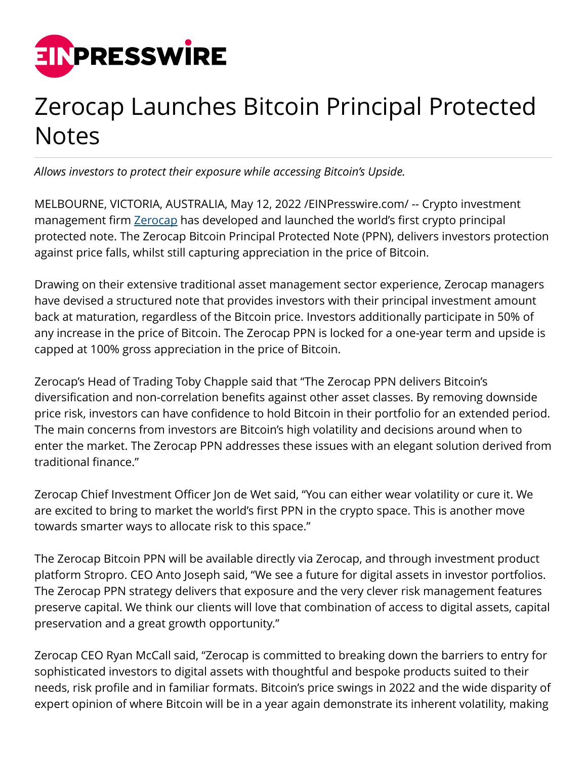

## Zerocap Launches Bitcoin Principal Protected **Notes**

*Allows investors to protect their exposure while accessing Bitcoin's Upside.*

MELBOURNE, VICTORIA, AUSTRALIA, May 12, 2022 /[EINPresswire.com](http://www.einpresswire.com)/ -- Crypto investment management firm [Zerocap](http://zerocap.com) has developed and launched the world's first crypto principal protected note. The Zerocap Bitcoin Principal Protected Note (PPN), delivers investors protection against price falls, whilst still capturing appreciation in the price of Bitcoin.

Drawing on their extensive traditional asset management sector experience, Zerocap managers have devised a structured note that provides investors with their principal investment amount back at maturation, regardless of the Bitcoin price. Investors additionally participate in 50% of any increase in the price of Bitcoin. The Zerocap PPN is locked for a one-year term and upside is capped at 100% gross appreciation in the price of Bitcoin.

Zerocap's Head of Trading Toby Chapple said that "The Zerocap PPN delivers Bitcoin's diversification and non-correlation benefits against other asset classes. By removing downside price risk, investors can have confidence to hold Bitcoin in their portfolio for an extended period. The main concerns from investors are Bitcoin's high volatility and decisions around when to enter the market. The Zerocap PPN addresses these issues with an elegant solution derived from traditional finance."

Zerocap Chief Investment Officer Jon de Wet said, "You can either wear volatility or cure it. We are excited to bring to market the world's first PPN in the crypto space. This is another move towards smarter ways to allocate risk to this space."

The Zerocap Bitcoin PPN will be available directly via Zerocap, and through investment product platform Stropro. CEO Anto Joseph said, "We see a future for digital assets in investor portfolios. The Zerocap PPN strategy delivers that exposure and the very clever risk management features preserve capital. We think our clients will love that combination of access to digital assets, capital preservation and a great growth opportunity."

Zerocap CEO Ryan McCall said, "Zerocap is committed to breaking down the barriers to entry for sophisticated investors to digital assets with thoughtful and bespoke products suited to their needs, risk profile and in familiar formats. Bitcoin's price swings in 2022 and the wide disparity of expert opinion of where Bitcoin will be in a year again demonstrate its inherent volatility, making